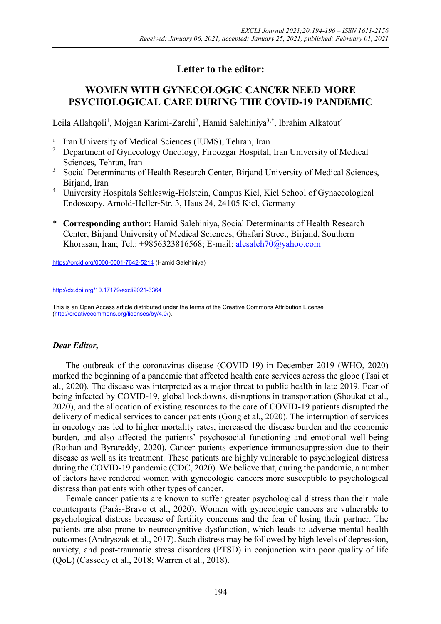# **Letter to the editor:**

## **WOMEN WITH GYNECOLOGIC CANCER NEED MORE PSYCHOLOGICAL CARE DURING THE COVID-19 PANDEMIC**

Leila Allahqoli<sup>1</sup>, Mojgan Karimi-Zarchi<sup>2</sup>, Hamid Salehiniya<sup>3,\*</sup>, Ibrahim Alkatout<sup>4</sup>

- 1 Iran University of Medical Sciences (IUMS), Tehran, Iran
- <sup>2</sup> Department of Gynecology Oncology, Firoozgar Hospital, Iran University of Medical Sciences, Tehran, Iran
- <sup>3</sup> Social Determinants of Health Research Center, Birjand University of Medical Sciences, Birjand, Iran
- <sup>4</sup> University Hospitals Schleswig-Holstein, Campus Kiel, Kiel School of Gynaecological Endoscopy. Arnold-Heller-Str. 3, Haus 24, 24105 Kiel, Germany
- \* **Corresponding author:** Hamid Salehiniya, Social Determinants of Health Research Center, Birjand University of Medical Sciences, Ghafari Street, Birjand, Southern Khorasan, Iran; Tel.: +9856323816568; E-mail: [alesaleh70@yahoo.com](mailto:alesaleh70@yahoo.com)

<https://orcid.org/0000-0001-7642-5214> (Hamid Salehiniya)

<http://dx.doi.org/10.17179/excli2021-3364>

This is an Open Access article distributed under the terms of the Creative Commons Attribution License [\(http://creativecommons.org/licenses/by/4.0/\)](http://creativecommons.org/licenses/by/4.0/).

## *Dear Editor,*

The outbreak of the coronavirus disease (COVID-19) in December 2019 [\(WHO,](#page-2-0) 2020) marked the beginning of a pandemic that affected health care services across the globe [\(Tsai et](#page-2-1)  [al., 2020\)](#page-2-1). The disease was interpreted as a major threat to public health in late 2019. Fear of being infected by COVID-19, global lockdowns, disruptions in transportation [\(Shoukat et al.,](#page-1-0) [2020\)](#page-1-0), and the allocation of existing resources to the care of COVID-19 patients disrupted the delivery of medical services to cancer patients [\(Gong et al.,](#page-1-1) 2020). The interruption of services in oncology has led to higher mortality rates, increased the disease burden and the economic burden, and also affected the patients' psychosocial functioning and emotional well-being [\(Rothan and](#page-1-2) Byrareddy, 2020). Cancer patients experience immunosuppression due to their disease as well as its treatment. These patients are highly vulnerable to psychological distress during the COVID-19 pandemic (CDC, 2020). We believe that, during the pandemic, a number of factors have rendered women with gynecologic cancers more susceptible to psychological distress than patients with other types of cancer.

Female cancer patients are known to suffer greater psychological distress than their male counterparts [\(Parás-Bravo et al.,](#page-1-3) 2020). Women with gynecologic cancers are vulnerable to psychological distress because of fertility concerns and the fear of losing their partner. The patients are also prone to neurocognitive dysfunction, which leads to adverse mental health outcomes [\(Andryszak](#page-1-4) et al., 2017). Such distress may be followed by high levels of depression, anxiety, and post-traumatic stress disorders (PTSD) in conjunction with poor quality of life (QoL) [\(Cassedy et al.,](#page-1-5) 2018; [Warren et al.,](#page-2-2) 2018).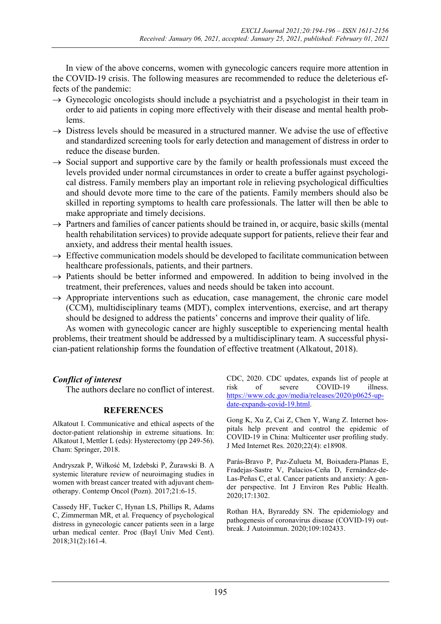In view of the above concerns, women with gynecologic cancers require more attention in the COVID-19 crisis. The following measures are recommended to reduce the deleterious effects of the pandemic:

- $\rightarrow$  Gynecologic oncologists should include a psychiatrist and a psychologist in their team in order to aid patients in coping more effectively with their disease and mental health problems.
- $\rightarrow$  Distress levels should be measured in a structured manner. We advise the use of effective and standardized screening tools for early detection and management of distress in order to reduce the disease burden.
- $\rightarrow$  Social support and supportive care by the family or health professionals must exceed the levels provided under normal circumstances in order to create a buffer against psychological distress. Family members play an important role in relieving psychological difficulties and should devote more time to the care of the patients. Family members should also be skilled in reporting symptoms to health care professionals. The latter will then be able to make appropriate and timely decisions.
- $\rightarrow$  Partners and families of cancer patients should be trained in, or acquire, basic skills (mental health rehabilitation services) to provide adequate support for patients, relieve their fear and anxiety, and address their mental health issues.
- $\rightarrow$  Effective communication models should be developed to facilitate communication between healthcare professionals, patients, and their partners.
- $\rightarrow$  Patients should be better informed and empowered. In addition to being involved in the treatment, their preferences, values and needs should be taken into account.
- $\rightarrow$  Appropriate interventions such as education, case management, the chronic care model (CCM), multidisciplinary teams (MDT), complex interventions, exercise, and art therapy should be designed to address the patients' concerns and improve their quality of life.

As women with gynecologic cancer are highly susceptible to experiencing mental health problems, their treatment should be addressed by a multidisciplinary team. A successful physician-patient relationship forms the foundation of effective treatment [\(Alkatout,](#page-1-6) 2018).

### *Conflict of interest*

The authors declare no conflict of interest.

### **REFERENCES**

<span id="page-1-6"></span>Alkatout I. Communicative and ethical aspects of the doctor-patient relationship in extreme situations. In: Alkatout I, Mettler L (eds): Hysterectomy (pp 249-56). Cham: Springer, 2018.

<span id="page-1-4"></span>Andryszak P, Wiłkość M, Izdebski P, Żurawski B. A systemic literature review of neuroimaging studies in women with breast cancer treated with adjuvant chemotherapy. Contemp Oncol (Pozn). 2017;21:6-15.

<span id="page-1-5"></span><span id="page-1-1"></span>Cassedy HF, Tucker C, Hynan LS, Phillips R, Adams C, Zimmerman MR, et al. Frequency of psychological distress in gynecologic cancer patients seen in a large urban medical center. Proc (Bayl Univ Med Cent). 2018;31(2):161-4.

CDC, 2020. CDC updates, expands list of people at risk of severe COVID-19 illness. [https://www.cdc.gov/media/releases/2020/p0625-up](https://www.cdc.gov/media/releases/2020/p0625-update-expands-covid-19.html)[date-expands-covid-19.html.](https://www.cdc.gov/media/releases/2020/p0625-update-expands-covid-19.html)

Gong K, Xu Z, Cai Z, Chen Y, Wang Z. Internet hospitals help prevent and control the epidemic of COVID-19 in China: Multicenter user profiling study. J Med Internet Res. 2020;22(4): e18908.

<span id="page-1-3"></span>Parás-Bravo P, Paz-Zulueta M, Boixadera-Planas E, Fradejas-Sastre V, Palacios-Ceña D, Fernández-de-Las-Peñas C, et al. Cancer patients and anxiety: A gender perspective. Int J Environ Res Public Health. 2020;17:1302.

<span id="page-1-2"></span><span id="page-1-0"></span>Rothan HA, Byrareddy SN. The epidemiology and pathogenesis of coronavirus disease (COVID-19) outbreak. J Autoimmun. 2020;109:102433.